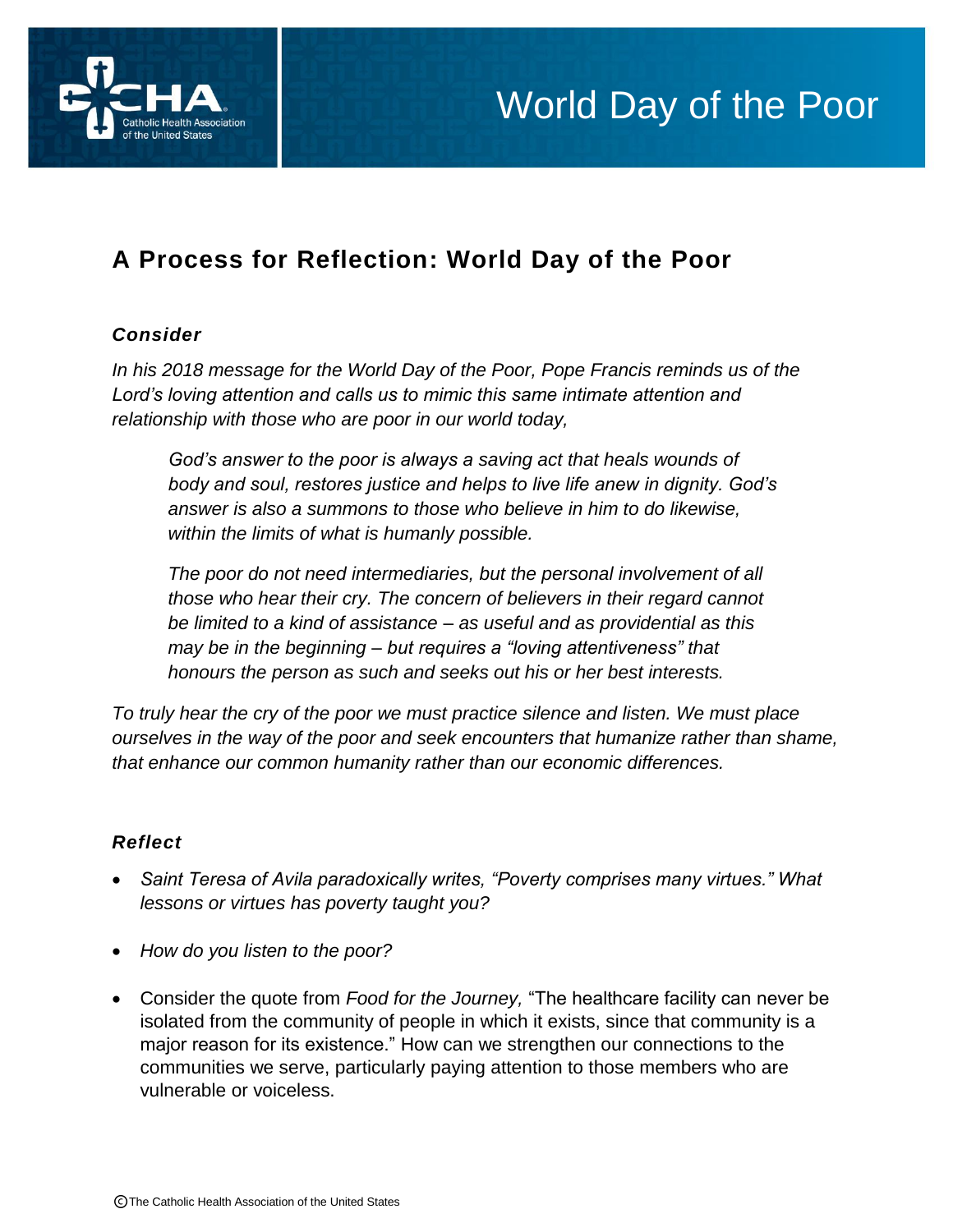

## World Day of the Poor

### **A Process for Reflection: World Day of the Poor**

#### *Consider*

*In his 2018 message for the World Day of the Poor, Pope Francis reminds us of the Lord's loving attention and calls us to mimic this same intimate attention and relationship with those who are poor in our world today,* 

*God's answer to the poor is always a saving act that heals wounds of body and soul, restores justice and helps to live life anew in dignity. God's answer is also a summons to those who believe in him to do likewise, within the limits of what is humanly possible.*

*The poor do not need intermediaries, but the personal involvement of all those who hear their cry. The concern of believers in their regard cannot be limited to a kind of assistance – as useful and as providential as this may be in the beginning – but requires a "loving attentiveness" that honours the person as such and seeks out his or her best interests.*

*To truly hear the cry of the poor we must practice silence and listen. We must place ourselves in the way of the poor and seek encounters that humanize rather than shame, that enhance our common humanity rather than our economic differences.* 

#### *Reflect*

- *Saint Teresa of Avila paradoxically writes, "Poverty comprises many virtues." What lessons or virtues has poverty taught you?*
- *How do you listen to the poor?*
- Consider the quote from *Food for the Journey,* "The healthcare facility can never be isolated from the community of people in which it exists, since that community is a major reason for its existence." How can we strengthen our connections to the communities we serve, particularly paying attention to those members who are vulnerable or voiceless.